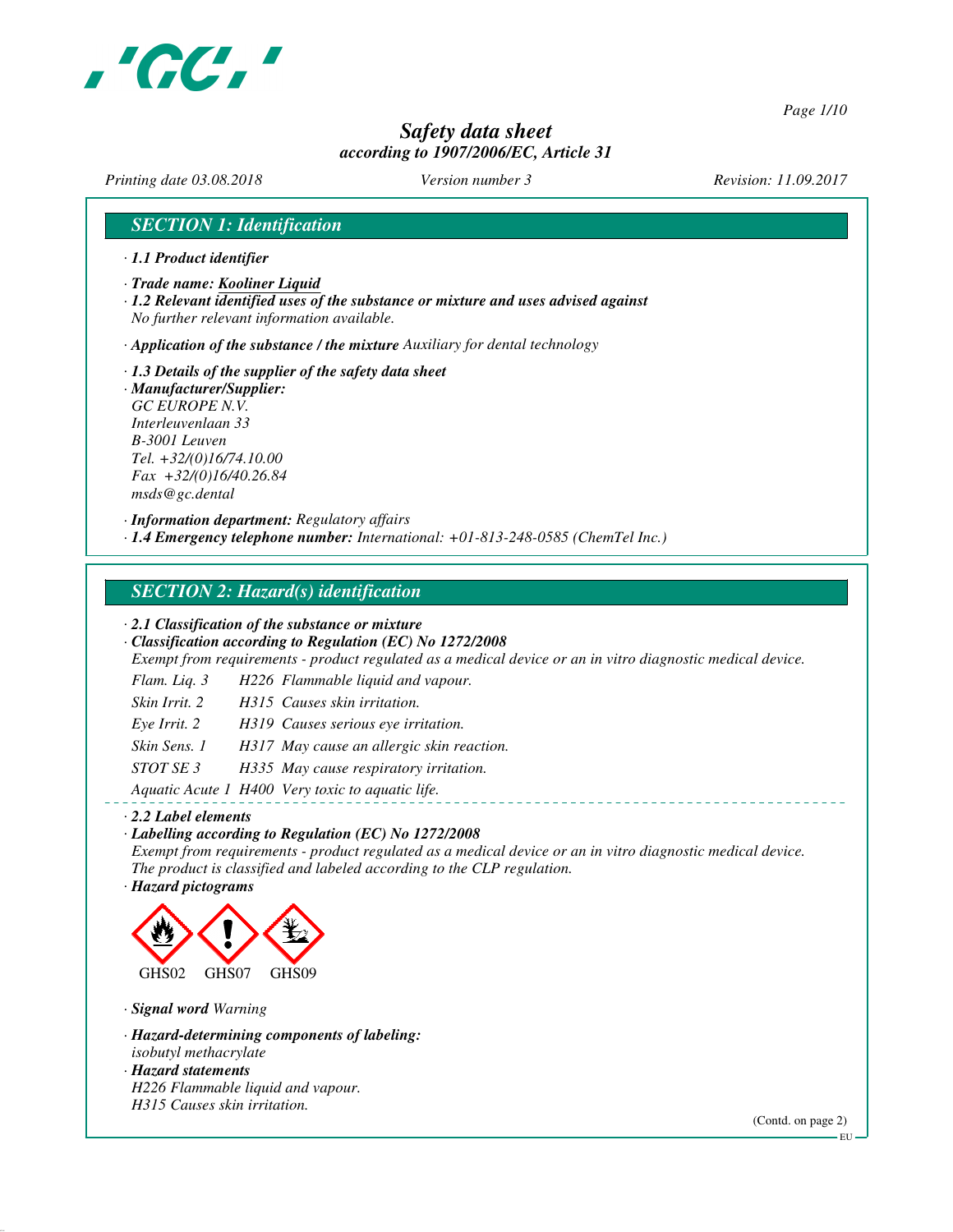

*Page 1/10*

# *Safety data sheet according to 1907/2006/EC, Article 31*

*Printing date 03.08.2018 Version number 3 Revision: 11.09.2017*

### *SECTION 1: Identification*

- *· 1.1 Product identifier*
- *· Trade name: Kooliner Liquid*
- *· 1.2 Relevant identified uses of the substance or mixture and uses advised against No further relevant information available.*

*· Application of the substance / the mixture Auxiliary for dental technology*

- *· 1.3 Details of the supplier of the safety data sheet*
- *· Manufacturer/Supplier: GC EUROPE N.V. Interleuvenlaan 33 B-3001 Leuven Tel. +32/(0)16/74.10.00 Fax +32/(0)16/40.26.84 msds@gc.dental*

*· Information department: Regulatory affairs*

*· 1.4 Emergency telephone number: International: +01-813-248-0585 (ChemTel Inc.)*

### *SECTION 2: Hazard(s) identification*

*· 2.1 Classification of the substance or mixture*

*· Classification according to Regulation (EC) No 1272/2008*

*Exempt from requirements - product regulated as a medical device or an in vitro diagnostic medical device.*

- *Flam. Liq. 3 H226 Flammable liquid and vapour.*
- *Skin Irrit. 2 H315 Causes skin irritation.*
- *Eye Irrit. 2 H319 Causes serious eye irritation.*
- *Skin Sens. 1 H317 May cause an allergic skin reaction.*
- *STOT SE 3 H335 May cause respiratory irritation.*

*Aquatic Acute 1 H400 Very toxic to aquatic life.*

#### *· 2.2 Label elements*

*· Labelling according to Regulation (EC) No 1272/2008 Exempt from requirements - product regulated as a medical device or an in vitro diagnostic medical device.*

*The product is classified and labeled according to the CLP regulation. · Hazard pictograms*



*· Signal word Warning*

- *· Hazard-determining components of labeling:*
- *isobutyl methacrylate*
- *· Hazard statements H226 Flammable liquid and vapour.*

*H315 Causes skin irritation.*

(Contd. on page 2)

EU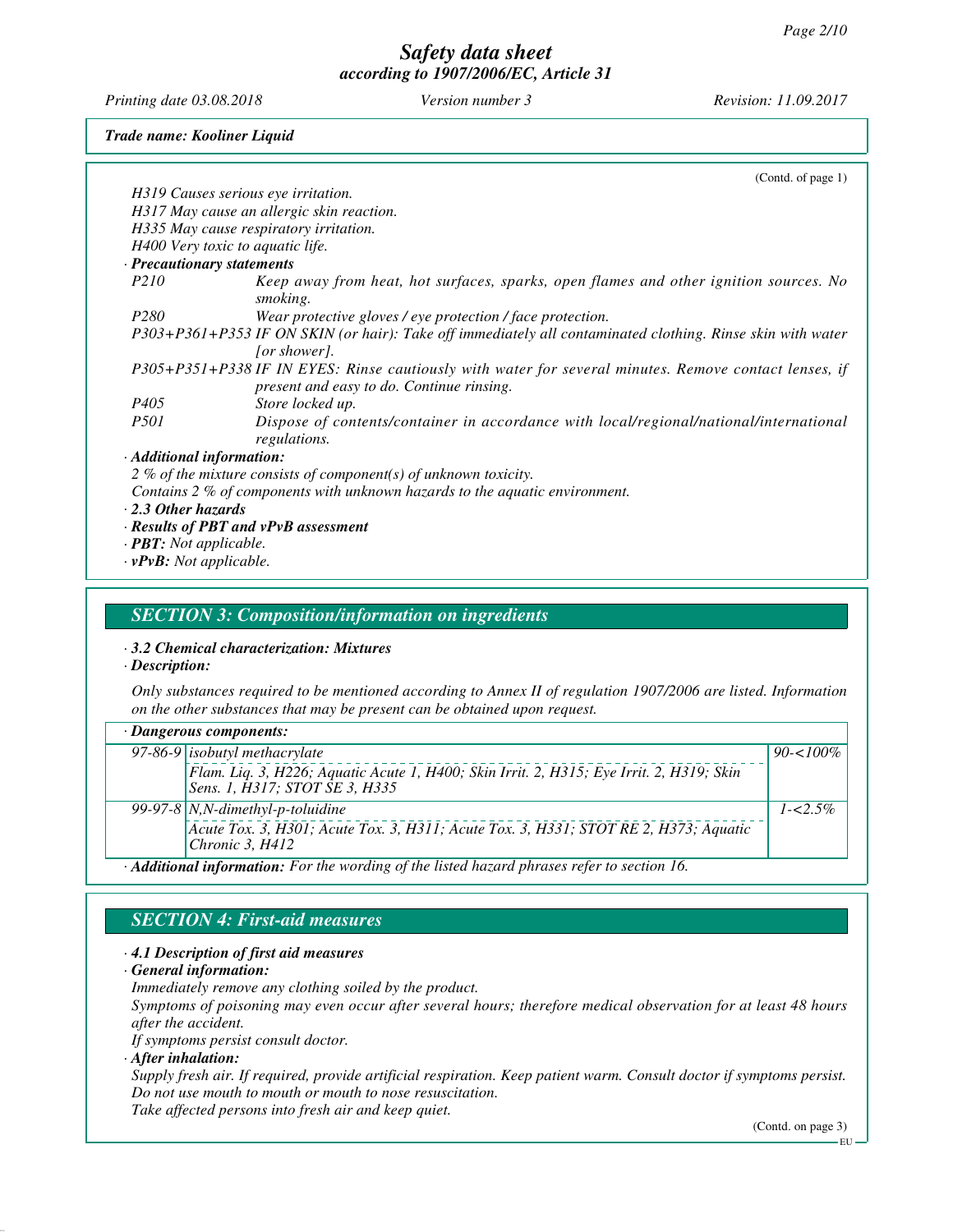*Printing date 03.08.2018 Version number 3 Revision: 11.09.2017*

*Trade name: Kooliner Liquid*

|                                      | (Cond. of page 1)                                                                                                                                  |
|--------------------------------------|----------------------------------------------------------------------------------------------------------------------------------------------------|
| H319 Causes serious eye irritation.  |                                                                                                                                                    |
|                                      | H317 May cause an allergic skin reaction.                                                                                                          |
|                                      | H335 May cause respiratory irritation.                                                                                                             |
| H400 Very toxic to aquatic life.     |                                                                                                                                                    |
| · Precautionary statements           |                                                                                                                                                    |
| <i>P210</i>                          | Keep away from heat, hot surfaces, sparks, open flames and other ignition sources. No<br>smoking.                                                  |
| P <sub>280</sub>                     | Wear protective gloves / eye protection / face protection.                                                                                         |
|                                      | P303+P361+P353 IF ON SKIN (or hair): Take off immediately all contaminated clothing. Rinse skin with water<br>[or shower].                         |
|                                      | P305+P351+P338 IF IN EYES: Rinse cautiously with water for several minutes. Remove contact lenses, if<br>present and easy to do. Continue rinsing. |
| <i>P405</i>                          | Store locked up.                                                                                                                                   |
| <i>P501</i>                          | Dispose of contents/container in accordance with local/regional/national/international<br>regulations.                                             |
| $\cdot$ Additional information:      |                                                                                                                                                    |
|                                      | 2 % of the mixture consists of component(s) of unknown toxicity.                                                                                   |
|                                      | Contains 2 % of components with unknown hazards to the aquatic environment.                                                                        |
| $\cdot$ 2.3 Other hazards            |                                                                                                                                                    |
|                                      | $\cdot$ Results of PBT and vPvB assessment                                                                                                         |
| $\cdot$ <b>PBT</b> : Not applicable. |                                                                                                                                                    |

*· vPvB: Not applicable.*

#### *SECTION 3: Composition/information on ingredients*

*· 3.2 Chemical characterization: Mixtures*

*· Description:*

*Only substances required to be mentioned according to Annex II of regulation 1907/2006 are listed. Information on the other substances that may be present can be obtained upon request.*

| $\cdot$ Dangerous components:                                                            |                                                                                                                            |              |
|------------------------------------------------------------------------------------------|----------------------------------------------------------------------------------------------------------------------------|--------------|
|                                                                                          | $97-86-9$ isobutyl methacrylate                                                                                            | $90 - 100\%$ |
|                                                                                          | Flam. Liq. 3, H226; Aquatic Acute 1, H400; Skin Irrit. 2, H315; Eye Irrit. 2, H319; Skin<br>Sens. 1, H317; STOT SE 3, H335 |              |
|                                                                                          | 99-97-8   N, N-dimethyl-p-toluidine                                                                                        | $1 - 5\%$    |
|                                                                                          | Acute Tox. 3, H301; Acute Tox. 3, H311; Acute Tox. 3, H331; STOT RE 2, H373; Aquatic<br>Chronic 3, H412                    |              |
| A DR. 1 : . Commediant Fourth opposition of the Bated becaud plugges ushou to good on 16 |                                                                                                                            |              |

*· Additional information: For the wording of the listed hazard phrases refer to section 16.*

# *SECTION 4: First-aid measures*

*· 4.1 Description of first aid measures*

*· General information:*

*Immediately remove any clothing soiled by the product.*

*Symptoms of poisoning may even occur after several hours; therefore medical observation for at least 48 hours after the accident.*

*If symptoms persist consult doctor.*

*· After inhalation:*

*Supply fresh air. If required, provide artificial respiration. Keep patient warm. Consult doctor if symptoms persist. Do not use mouth to mouth or mouth to nose resuscitation. Take affected persons into fresh air and keep quiet.*

(Contd. on page 3)

EU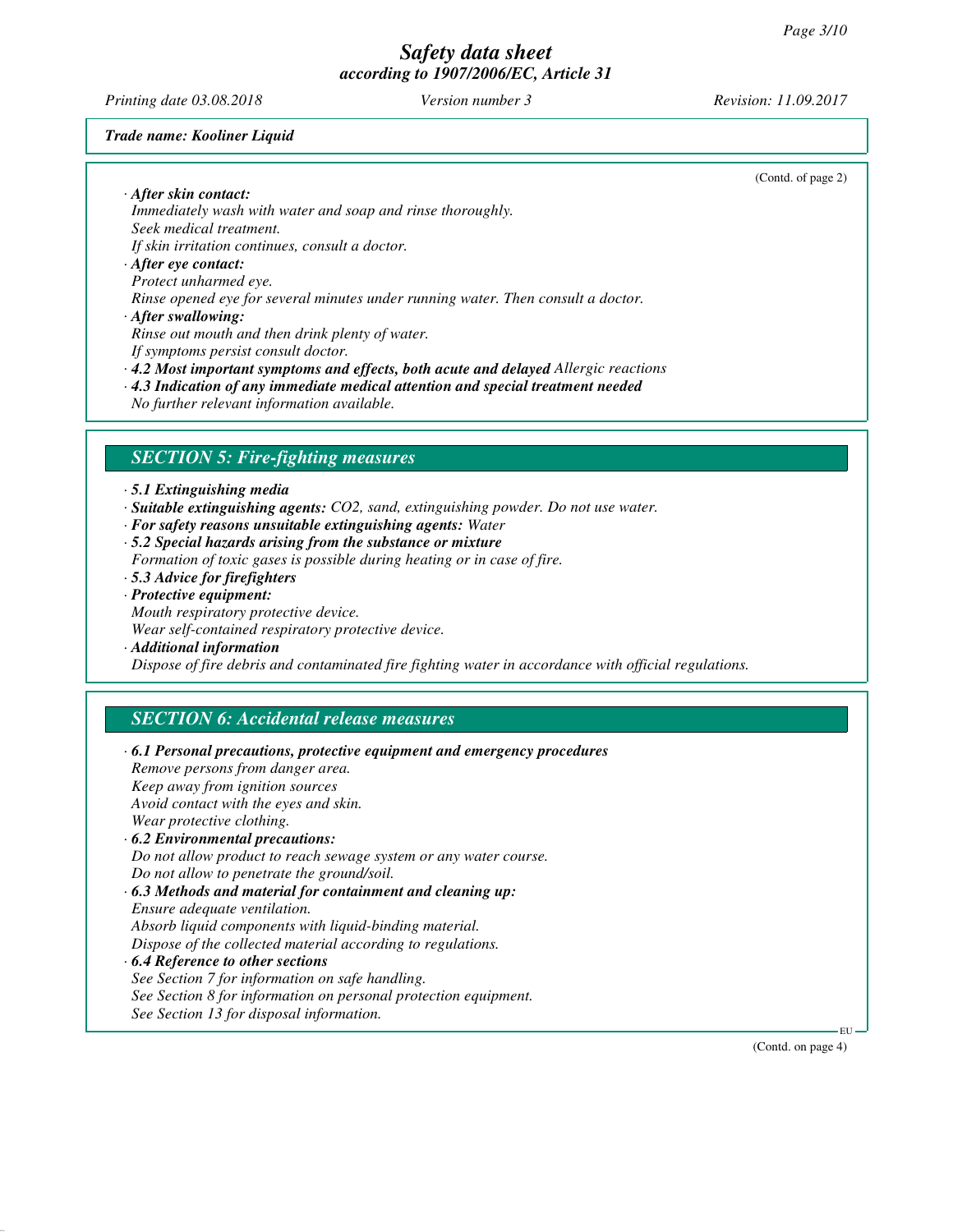*Printing date 03.08.2018 Version number 3 Revision: 11.09.2017*

(Contd. of page 2)

#### *Trade name: Kooliner Liquid*

*· After skin contact:*

*Immediately wash with water and soap and rinse thoroughly. Seek medical treatment.*

*If skin irritation continues, consult a doctor.*

#### *· After eye contact: Protect unharmed eye. Rinse opened eye for several minutes under running water. Then consult a doctor.*

*· After swallowing:*

*Rinse out mouth and then drink plenty of water.*

*If symptoms persist consult doctor.*

*· 4.2 Most important symptoms and effects, both acute and delayed Allergic reactions*

- *· 4.3 Indication of any immediate medical attention and special treatment needed*
- *No further relevant information available.*

### *SECTION 5: Fire-fighting measures*

*· 5.1 Extinguishing media*

- *· Suitable extinguishing agents: CO2, sand, extinguishing powder. Do not use water.*
- *· For safety reasons unsuitable extinguishing agents: Water*
- *· 5.2 Special hazards arising from the substance or mixture*
- *Formation of toxic gases is possible during heating or in case of fire.*
- *· 5.3 Advice for firefighters*
- *· Protective equipment: Mouth respiratory protective device. Wear self-contained respiratory protective device.*
- 
- *· Additional information Dispose of fire debris and contaminated fire fighting water in accordance with official regulations.*

## *SECTION 6: Accidental release measures*

| $\cdot$ 6.1 Personal precautions, protective equipment and emergency procedures |
|---------------------------------------------------------------------------------|
| Remove persons from danger area.                                                |
| Keep away from ignition sources                                                 |
| Avoid contact with the eyes and skin.                                           |
| Wear protective clothing.                                                       |
| $\cdot$ 6.2 Environmental precautions:                                          |
| Do not allow product to reach sewage system or any water course.                |
| Do not allow to penetrate the ground/soil.                                      |
| $\cdot$ 6.3 Methods and material for containment and cleaning up:               |
| <i>Ensure adequate ventilation.</i>                                             |
| Absorb liquid components with liquid-binding material.                          |
| Dispose of the collected material according to regulations.                     |
| $\cdot$ 6.4 Reference to other sections                                         |
| See Section 7 for information on safe handling.                                 |
| See Section 8 for information on personal protection equipment.                 |
| See Section 13 for disposal information.                                        |

(Contd. on page 4)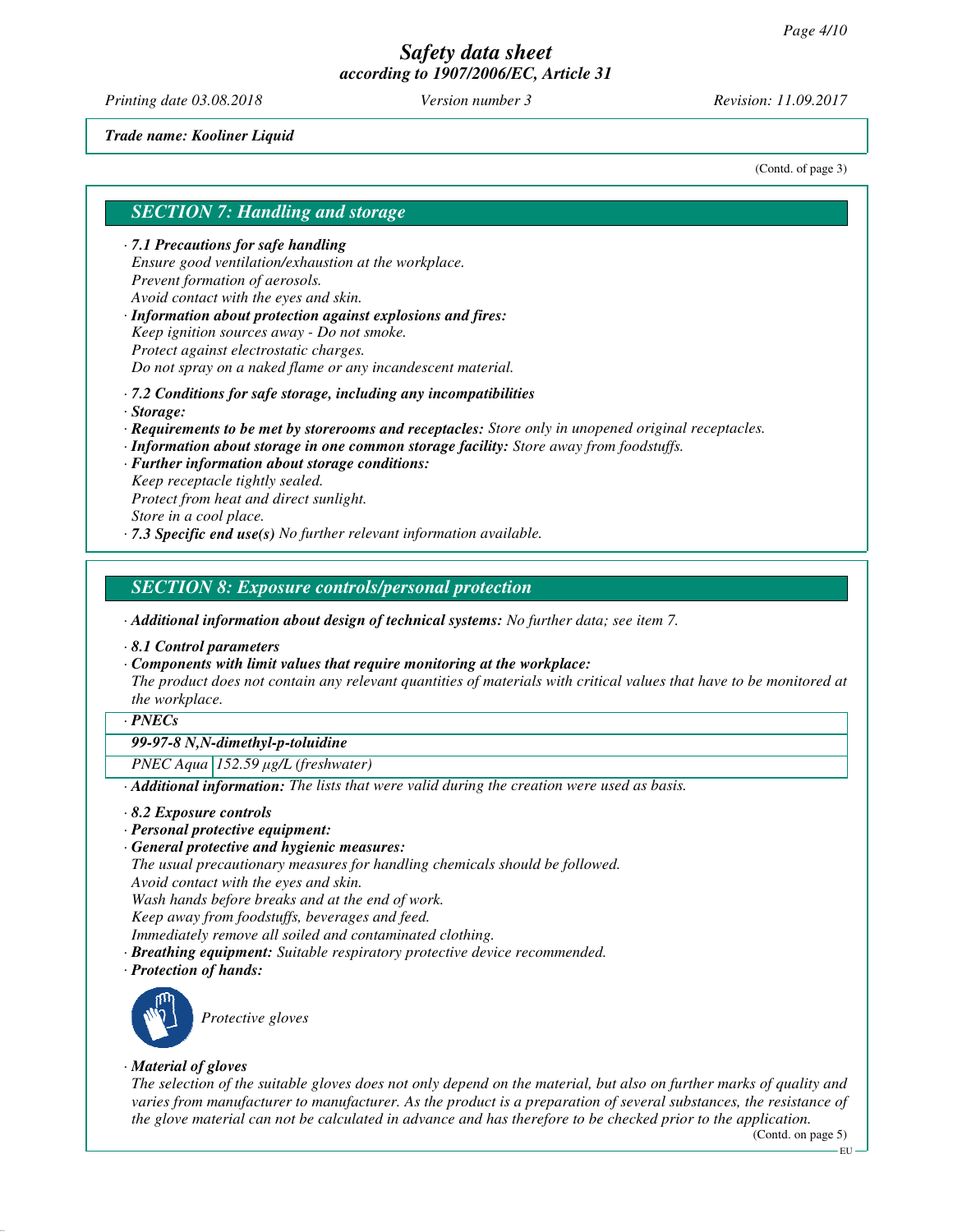*Printing date 03.08.2018 Version number 3 Revision: 11.09.2017*

#### *Trade name: Kooliner Liquid*

(Contd. of page 3)

#### *SECTION 7: Handling and storage*

*· 7.1 Precautions for safe handling Ensure good ventilation/exhaustion at the workplace. Prevent formation of aerosols. Avoid contact with the eyes and skin.*

*· Information about protection against explosions and fires: Keep ignition sources away - Do not smoke. Protect against electrostatic charges. Do not spray on a naked flame or any incandescent material.*

- *· 7.2 Conditions for safe storage, including any incompatibilities*
- *· Storage:*
- *· Requirements to be met by storerooms and receptacles: Store only in unopened original receptacles.*
- *· Information about storage in one common storage facility: Store away from foodstuffs.*
- *· Further information about storage conditions: Keep receptacle tightly sealed. Protect from heat and direct sunlight. Store in a cool place.*
- *· 7.3 Specific end use(s) No further relevant information available.*

### *SECTION 8: Exposure controls/personal protection*

*· Additional information about design of technical systems: No further data; see item 7.*

- *· 8.1 Control parameters*
- *· Components with limit values that require monitoring at the workplace: The product does not contain any relevant quantities of materials with critical values that have to be monitored at the workplace.*

#### *· PNECs*

# *99-97-8 N,N-dimethyl-p-toluidine*

*PNEC Aqua 152.59* μ*g/L (freshwater)*

*· Additional information: The lists that were valid during the creation were used as basis.*

- *· 8.2 Exposure controls*
- *· Personal protective equipment:*
- *· General protective and hygienic measures:*

*The usual precautionary measures for handling chemicals should be followed. Avoid contact with the eyes and skin. Wash hands before breaks and at the end of work. Keep away from foodstuffs, beverages and feed.*

*Immediately remove all soiled and contaminated clothing.*

- *· Breathing equipment: Suitable respiratory protective device recommended.*
- *· Protection of hands:*



*Protective gloves*

#### *· Material of gloves*

*The selection of the suitable gloves does not only depend on the material, but also on further marks of quality and varies from manufacturer to manufacturer. As the product is a preparation of several substances, the resistance of the glove material can not be calculated in advance and has therefore to be checked prior to the application.*

(Contd. on page 5)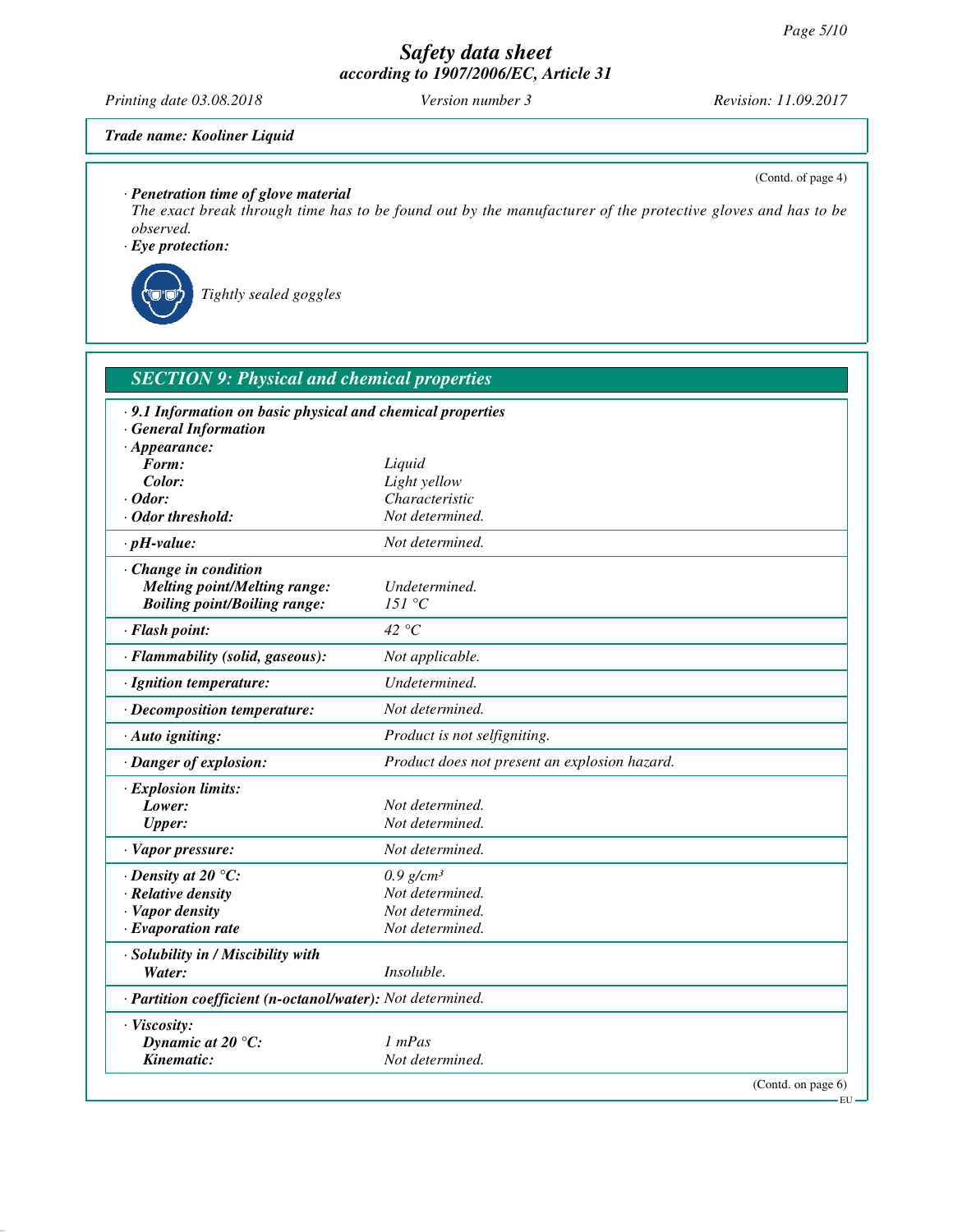*Printing date 03.08.2018 Version number 3 Revision: 11.09.2017*

(Contd. of page 4)

### *Trade name: Kooliner Liquid*

*· Penetration time of glove material*

*The exact break through time has to be found out by the manufacturer of the protective gloves and has to be observed.*

*· Eye protection:*



*Tightly sealed goggles*

| <b>SECTION 9: Physical and chemical properties</b>          |                                               |
|-------------------------------------------------------------|-----------------------------------------------|
| · 9.1 Information on basic physical and chemical properties |                                               |
| <b>General Information</b>                                  |                                               |
| $\cdot$ Appearance:                                         |                                               |
| Form:                                                       | Liquid                                        |
| Color:                                                      | Light yellow                                  |
| $\cdot$ Odor:                                               | Characteristic                                |
| $\cdot$ Odor threshold:                                     | Not determined.                               |
| $\cdot$ pH-value:                                           | Not determined.                               |
| $\cdot$ Change in condition                                 |                                               |
| <b>Melting point/Melting range:</b>                         | Undetermined.                                 |
| <b>Boiling point/Boiling range:</b>                         | 151 °C                                        |
| · Flash point:                                              | 42 °C                                         |
| · Flammability (solid, gaseous):                            | Not applicable.                               |
| · Ignition temperature:                                     | Undetermined.                                 |
| · Decomposition temperature:                                | Not determined.                               |
| · Auto igniting:                                            | Product is not selfigniting.                  |
| · Danger of explosion:                                      | Product does not present an explosion hazard. |
| · Explosion limits:                                         |                                               |
| Lower:                                                      | Not determined.                               |
| <b>Upper:</b>                                               | Not determined.                               |
| · Vapor pressure:                                           | Not determined.                               |
| $\cdot$ Density at 20 °C:                                   | $0.9$ g/cm <sup>3</sup>                       |
| · Relative density                                          | Not determined.                               |
| · Vapor density                                             | Not determined.                               |
| $\cdot$ Evaporation rate                                    | Not determined.                               |
| · Solubility in / Miscibility with                          |                                               |
| Water:                                                      | Insoluble.                                    |
| · Partition coefficient (n-octanol/water): Not determined.  |                                               |
| · Viscosity:                                                |                                               |
| Dynamic at $20^{\circ}$ C:                                  | $1$ mPas                                      |
| Kinematic:                                                  | Not determined.                               |
|                                                             | (Contd. on page 6)                            |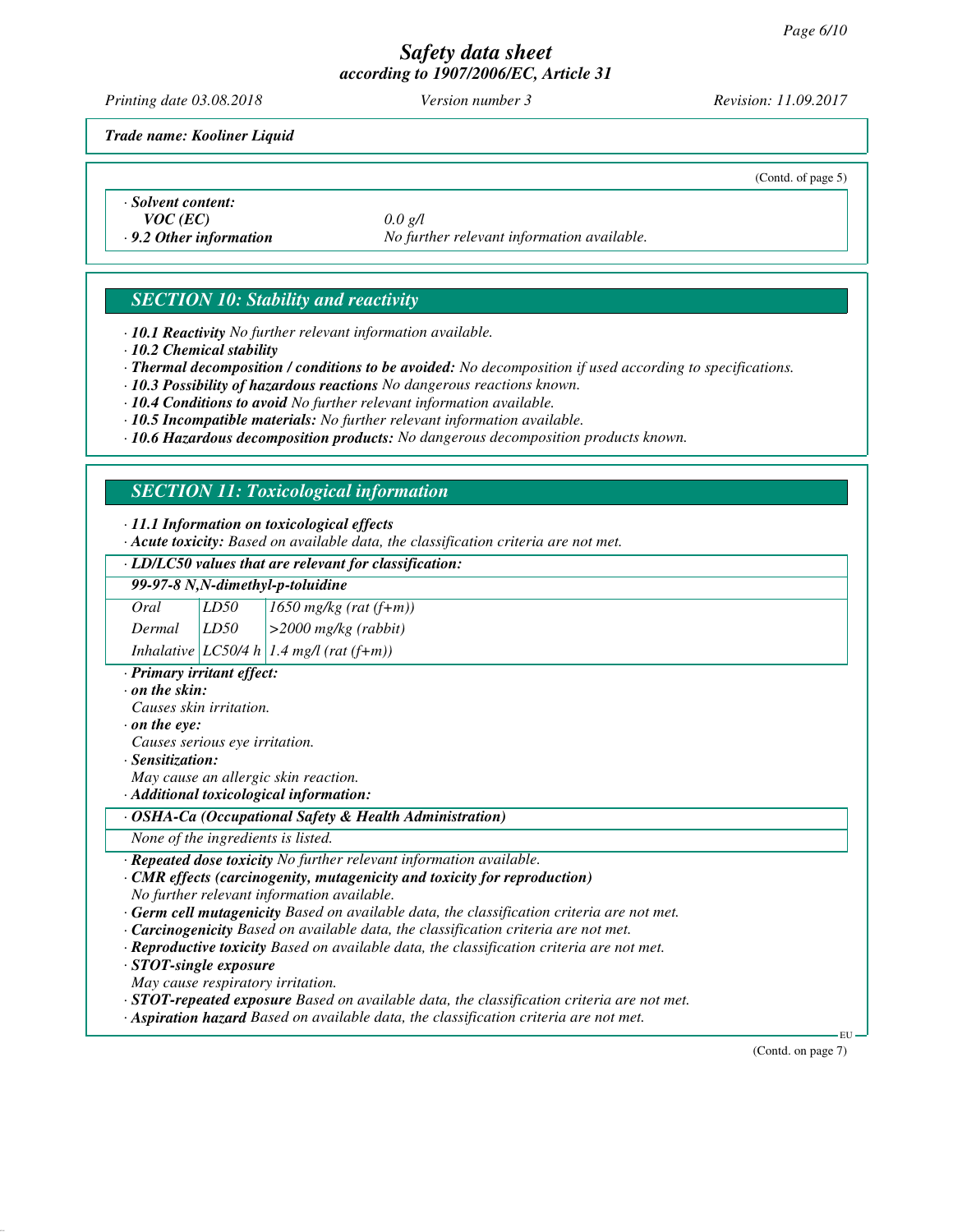*Printing date 03.08.2018 Version number 3 Revision: 11.09.2017*

*Trade name: Kooliner Liquid*

(Contd. of page 5)

*· Solvent content: VOC (EC) 0.0 g/l*

*· 9.2 Other information No further relevant information available.*

# *SECTION 10: Stability and reactivity*

*· 10.1 Reactivity No further relevant information available.*

*· 10.2 Chemical stability*

*· Thermal decomposition / conditions to be avoided: No decomposition if used according to specifications.*

*· 10.3 Possibility of hazardous reactions No dangerous reactions known.*

*· 10.4 Conditions to avoid No further relevant information available.*

*· 10.5 Incompatible materials: No further relevant information available.*

*· 10.6 Hazardous decomposition products: No dangerous decomposition products known.*

# *SECTION 11: Toxicological information*

*· 11.1 Information on toxicological effects*

*· Acute toxicity: Based on available data, the classification criteria are not met.*

#### *· LD/LC50 values that are relevant for classification:*

| 99-97-8 N,N-dimethyl-p-toluidine |      |                                          |  |
|----------------------------------|------|------------------------------------------|--|
| Oral                             | LD50 | $1650$ mg/kg (rat $(f+m)$ )              |  |
| Dermal                           | LD50 | $  > 2000$ mg/kg (rabbit)                |  |
|                                  |      | Inhalative LC50/4 h 1.4 mg/l (rat (f+m)) |  |

*· Primary irritant effect:*

*· on the skin:*

*Causes skin irritation.*

*· on the eye:*

*Causes serious eye irritation.*

*· Sensitization:*

*May cause an allergic skin reaction.*

*· Additional toxicological information:*

*· OSHA-Ca (Occupational Safety & Health Administration)*

*None of the ingredients is listed.*

*· Repeated dose toxicity No further relevant information available.*

*· CMR effects (carcinogenity, mutagenicity and toxicity for reproduction) No further relevant information available.*

*· Germ cell mutagenicity Based on available data, the classification criteria are not met.*

*· Carcinogenicity Based on available data, the classification criteria are not met.*

*· Reproductive toxicity Based on available data, the classification criteria are not met.*

*· STOT-single exposure*

*May cause respiratory irritation.*

*· STOT-repeated exposure Based on available data, the classification criteria are not met.*

*· Aspiration hazard Based on available data, the classification criteria are not met.*

(Contd. on page 7)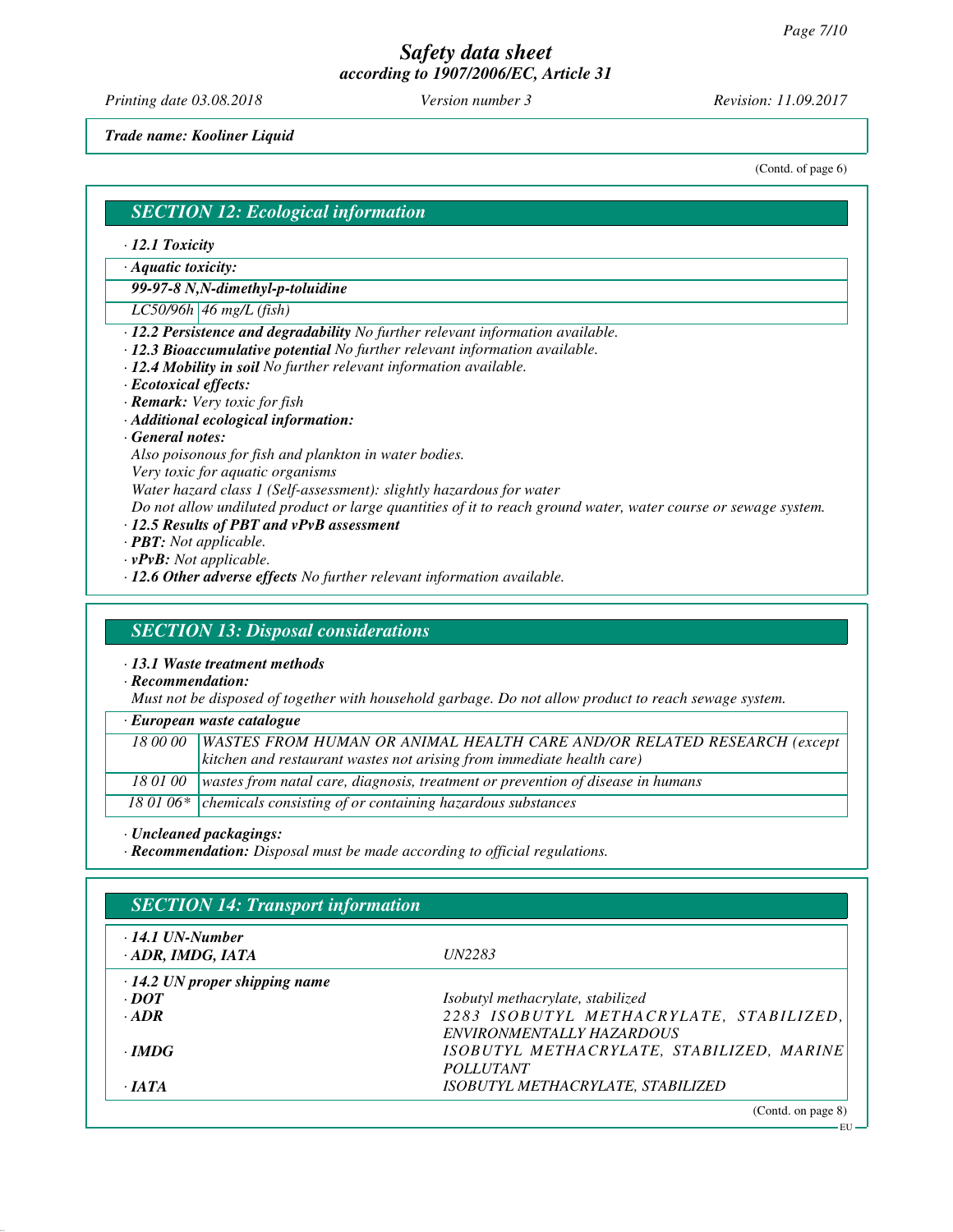*Printing date 03.08.2018 Version number 3 Revision: 11.09.2017*

*Trade name: Kooliner Liquid*

(Contd. of page 6)

#### *SECTION 12: Ecological information*

- *· 12.1 Toxicity*
- *· Aquatic toxicity:*

*99-97-8 N,N-dimethyl-p-toluidine*

- *LC50/96h 46 mg/L (fish)*
- *· 12.2 Persistence and degradability No further relevant information available.*
- *· 12.3 Bioaccumulative potential No further relevant information available.*
- *· 12.4 Mobility in soil No further relevant information available.*
- *· Ecotoxical effects:*
- *· Remark: Very toxic for fish*
- *· Additional ecological information:*
- *· General notes:*
- *Also poisonous for fish and plankton in water bodies.*
- *Very toxic for aquatic organisms*

*Water hazard class 1 (Self-assessment): slightly hazardous for water*

- *Do not allow undiluted product or large quantities of it to reach ground water, water course or sewage system.*
- *· 12.5 Results of PBT and vPvB assessment*
- *· PBT: Not applicable.*
- *· vPvB: Not applicable.*
- *· 12.6 Other adverse effects No further relevant information available.*

### *SECTION 13: Disposal considerations*

*· 13.1 Waste treatment methods*

*· Recommendation:*

*Must not be disposed of together with household garbage. Do not allow product to reach sewage system.*

*· European waste catalogue*

| 18 00 00   WASTES FROM HUMAN OR ANIMAL HEALTH CARE AND/OR RELATED RESEARCH (except         |  |
|--------------------------------------------------------------------------------------------|--|
| $\vert$ kitchen and restaurant wastes not arising from immediate health care)              |  |
| 18 01 00   wastes from natal care, diagnosis, treatment or prevention of disease in humans |  |
| 18 01 06* $\vert$ chemicals consisting of or containing hazardous substances               |  |

*· Uncleaned packagings:*

*· Recommendation: Disposal must be made according to official regulations.*

| $\cdot$ 14.1 UN-Number<br>· ADR, IMDG, IATA | <i>UN2283</i>                             |
|---------------------------------------------|-------------------------------------------|
| $\cdot$ 14.2 UN proper shipping name        |                                           |
| $\cdot$ DOT                                 | Isobutyl methacrylate, stabilized         |
| $-ADR$                                      | 2283 ISOBUTYL METHACRYLATE, STABILIZED,   |
|                                             | ENVIRONMENTALLY HAZARDOUS                 |
| $\cdot$ IMDG                                | ISOBUTYL METHACRYLATE, STABILIZED, MARINE |
|                                             | <i>POLLUTANT</i>                          |
| $\cdot$ JATA                                | ISOBUTYL METHACRYLATE, STABILIZED         |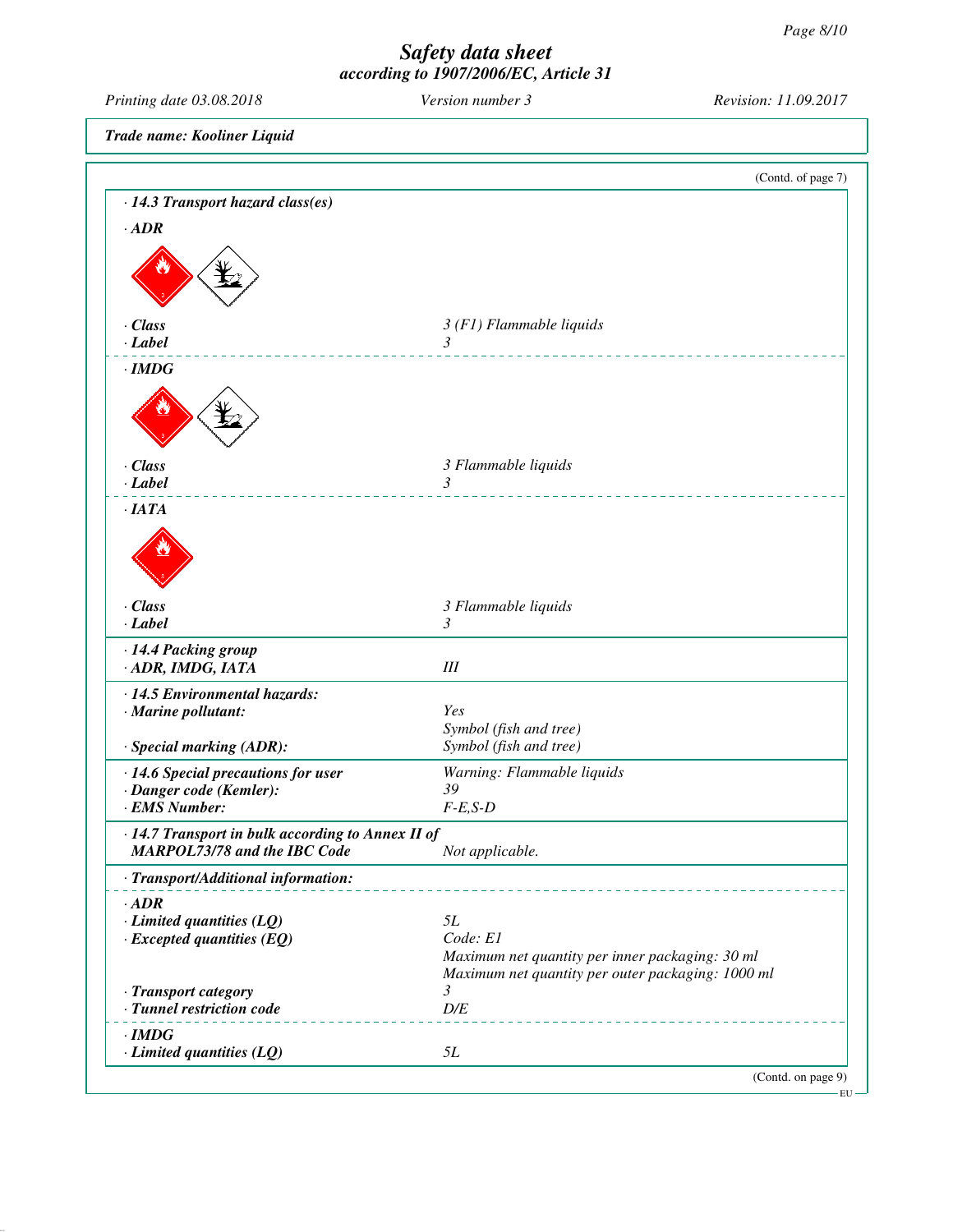| Printing date 03.08.2018                                                                 | Version number 3                                                                                     | Revision: 11.09.2017 |
|------------------------------------------------------------------------------------------|------------------------------------------------------------------------------------------------------|----------------------|
| Trade name: Kooliner Liquid                                                              |                                                                                                      |                      |
|                                                                                          |                                                                                                      | (Contd. of page 7)   |
| · 14.3 Transport hazard class(es)                                                        |                                                                                                      |                      |
| $\cdot$ <i>ADR</i>                                                                       |                                                                                                      |                      |
|                                                                                          |                                                                                                      |                      |
|                                                                                          |                                                                                                      |                      |
|                                                                                          |                                                                                                      |                      |
| · Class                                                                                  | $3(F1)$ Flammable liquids                                                                            |                      |
| $\cdot$ Label                                                                            | $\mathfrak{Z}$                                                                                       |                      |
| $\cdot$ IMDG                                                                             |                                                                                                      |                      |
|                                                                                          |                                                                                                      |                      |
|                                                                                          |                                                                                                      |                      |
|                                                                                          |                                                                                                      |                      |
| · Class<br>$-Label$                                                                      | 3 Flammable liquids<br>$\mathfrak{Z}$                                                                |                      |
| ·IATA                                                                                    |                                                                                                      |                      |
|                                                                                          |                                                                                                      |                      |
|                                                                                          |                                                                                                      |                      |
|                                                                                          |                                                                                                      |                      |
| · Class                                                                                  | 3 Flammable liquids                                                                                  |                      |
| $\cdot$ Label                                                                            | 3                                                                                                    |                      |
| · 14.4 Packing group                                                                     |                                                                                                      |                      |
| · ADR, IMDG, IATA                                                                        | III                                                                                                  |                      |
| · 14.5 Environmental hazards:                                                            |                                                                                                      |                      |
| · Marine pollutant:                                                                      | Yes<br>Symbol (fish and tree)                                                                        |                      |
| · Special marking (ADR):                                                                 | Symbol (fish and tree)                                                                               |                      |
| · 14.6 Special precautions for user                                                      | Warning: Flammable liquids                                                                           |                      |
| · Danger code (Kemler):<br>· EMS Number:                                                 | 39<br>$F-E, S-D$                                                                                     |                      |
|                                                                                          |                                                                                                      |                      |
| · 14.7 Transport in bulk according to Annex II of<br><b>MARPOL73/78 and the IBC Code</b> | Not applicable.                                                                                      |                      |
| · Transport/Additional information:                                                      |                                                                                                      |                      |
| $\cdot$ ADR                                                                              |                                                                                                      |                      |
| $\cdot$ Limited quantities (LQ)                                                          | 5L                                                                                                   |                      |
| $\cdot$ Excepted quantities (EQ)                                                         | Code: E1                                                                                             |                      |
|                                                                                          | Maximum net quantity per inner packaging: 30 ml<br>Maximum net quantity per outer packaging: 1000 ml |                      |
| · Transport category                                                                     | 3                                                                                                    |                      |
| · Tunnel restriction code                                                                | $D\!/\!E$                                                                                            |                      |
| $\cdot$ IMDG                                                                             |                                                                                                      |                      |
| $\cdot$ Limited quantities (LQ)                                                          | 5L                                                                                                   |                      |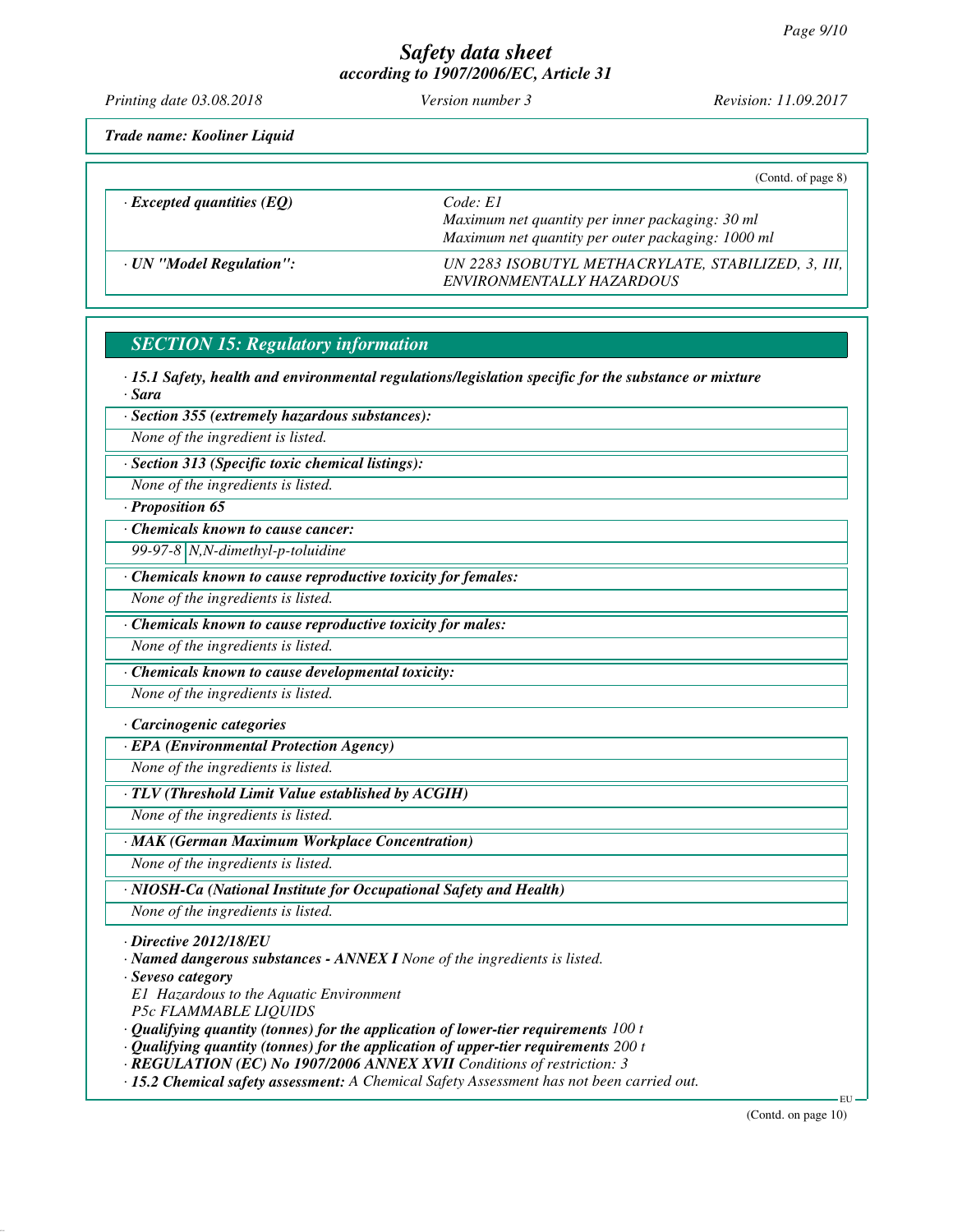*Printing date 03.08.2018 Version number 3 Revision: 11.09.2017*

*Trade name: Kooliner Liquid*

|                                  | (Cond. of page 8)                                                                                                |
|----------------------------------|------------------------------------------------------------------------------------------------------------------|
| $\cdot$ Excepted quantities (EQ) | Code: El<br>Maximum net quantity per inner packaging: 30 ml<br>Maximum net quantity per outer packaging: 1000 ml |
| · UN "Model Regulation":         | UN 2283 ISOBUTYL METHACRYLATE, STABILIZED, 3, III,<br>ENVIRONMENTALLY HAZARDOUS                                  |

# *SECTION 15: Regulatory information*

*· 15.1 Safety, health and environmental regulations/legislation specific for the substance or mixture · Sara*

*· Section 355 (extremely hazardous substances):*

*None of the ingredient is listed.*

*· Section 313 (Specific toxic chemical listings):*

*None of the ingredients is listed.*

### *· Proposition 65*

*· Chemicals known to cause cancer:*

*99-97-8 N,N-dimethyl-p-toluidine*

*· Chemicals known to cause reproductive toxicity for females:*

*None of the ingredients is listed.*

*· Chemicals known to cause reproductive toxicity for males:*

*None of the ingredients is listed.*

*· Chemicals known to cause developmental toxicity:*

*None of the ingredients is listed.*

#### *· Carcinogenic categories*

*· EPA (Environmental Protection Agency)*

*None of the ingredients is listed.*

*· TLV (Threshold Limit Value established by ACGIH)*

*None of the ingredients is listed.*

*· MAK (German Maximum Workplace Concentration)*

*None of the ingredients is listed.*

*· NIOSH-Ca (National Institute for Occupational Safety and Health)*

*None of the ingredients is listed.*

*· Directive 2012/18/EU*

*· Named dangerous substances - ANNEX I None of the ingredients is listed.*

*· Seveso category*

*E1 Hazardous to the Aquatic Environment*

*P5c FLAMMABLE LIQUIDS*

*· Qualifying quantity (tonnes) for the application of lower-tier requirements 100 t*

*· Qualifying quantity (tonnes) for the application of upper-tier requirements 200 t*

*· REGULATION (EC) No 1907/2006 ANNEX XVII Conditions of restriction: 3*

*· 15.2 Chemical safety assessment: A Chemical Safety Assessment has not been carried out.*

(Contd. on page 10)